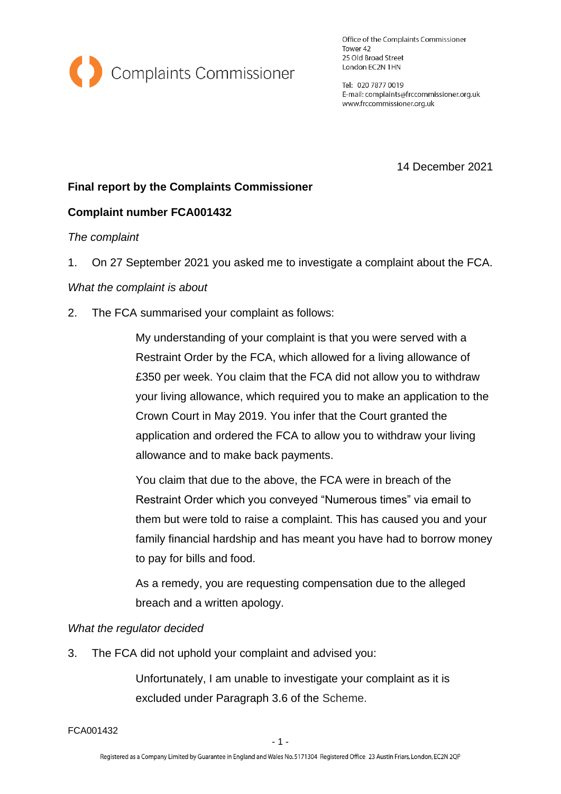

Office of the Complaints Commissioner Tower 42 25 Old Broad Street London EC2N 1HN

Tel: 020 7877 0019 E-mail: complaints@frccommissioner.org.uk www.frccommissioner.org.uk

14 December 2021

# **Final report by the Complaints Commissioner**

### **Complaint number FCA001432**

### *The complaint*

1. On 27 September 2021 you asked me to investigate a complaint about the FCA.

### *What the complaint is about*

2. The FCA summarised your complaint as follows:

My understanding of your complaint is that you were served with a Restraint Order by the FCA, which allowed for a living allowance of £350 per week. You claim that the FCA did not allow you to withdraw your living allowance, which required you to make an application to the Crown Court in May 2019. You infer that the Court granted the application and ordered the FCA to allow you to withdraw your living allowance and to make back payments.

You claim that due to the above, the FCA were in breach of the Restraint Order which you conveyed "Numerous times" via email to them but were told to raise a complaint. This has caused you and your family financial hardship and has meant you have had to borrow money to pay for bills and food.

As a remedy, you are requesting compensation due to the alleged breach and a written apology.

### *What the regulator decided*

3. The FCA did not uphold your complaint and advised you:

Unfortunately, I am unable to investigate your complaint as it is excluded under Paragraph 3.6 of the Scheme.

FCA001432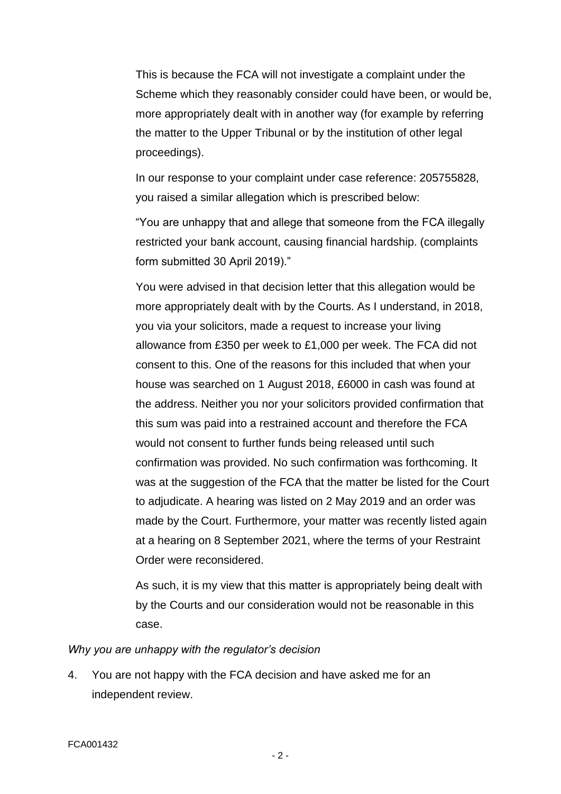This is because the FCA will not investigate a complaint under the Scheme which they reasonably consider could have been, or would be, more appropriately dealt with in another way (for example by referring the matter to the Upper Tribunal or by the institution of other legal proceedings).

In our response to your complaint under case reference: 205755828, you raised a similar allegation which is prescribed below:

"You are unhappy that and allege that someone from the FCA illegally restricted your bank account, causing financial hardship. (complaints form submitted 30 April 2019)."

You were advised in that decision letter that this allegation would be more appropriately dealt with by the Courts. As I understand, in 2018, you via your solicitors, made a request to increase your living allowance from £350 per week to £1,000 per week. The FCA did not consent to this. One of the reasons for this included that when your house was searched on 1 August 2018, £6000 in cash was found at the address. Neither you nor your solicitors provided confirmation that this sum was paid into a restrained account and therefore the FCA would not consent to further funds being released until such confirmation was provided. No such confirmation was forthcoming. It was at the suggestion of the FCA that the matter be listed for the Court to adjudicate. A hearing was listed on 2 May 2019 and an order was made by the Court. Furthermore, your matter was recently listed again at a hearing on 8 September 2021, where the terms of your Restraint Order were reconsidered.

As such, it is my view that this matter is appropriately being dealt with by the Courts and our consideration would not be reasonable in this case.

#### *Why you are unhappy with the regulator's decision*

4. You are not happy with the FCA decision and have asked me for an independent review.